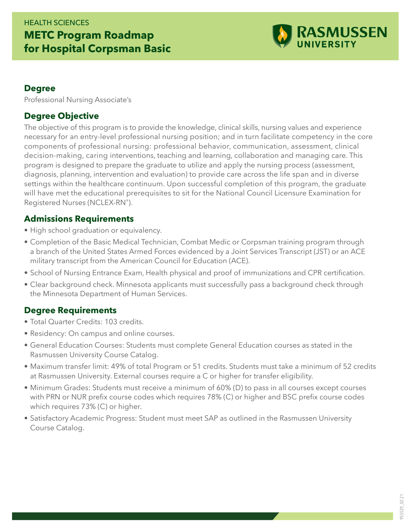## HEALTH SCIENCES **METC Program Roadmap for Hospital Corpsman Basic**



#### **Degree**

Professional Nursing Associate's

### **Degree Objective**

The objective of this program is to provide the knowledge, clinical skills, nursing values and experience necessary for an entry-level professional nursing position; and in turn facilitate competency in the core components of professional nursing: professional behavior, communication, assessment, clinical decision-making, caring interventions, teaching and learning, collaboration and managing care. This program is designed to prepare the graduate to utilize and apply the nursing process (assessment, diagnosis, planning, intervention and evaluation) to provide care across the life span and in diverse settings within the healthcare continuum. Upon successful completion of this program, the graduate will have met the educational prerequisites to sit for the National Council Licensure Examination for Registered Nurses (NCLEX-RN®).

#### **Admissions Requirements**

- High school graduation or equivalency.
- Completion of the Basic Medical Technician, Combat Medic or Corpsman training program through a branch of the United States Armed Forces evidenced by a Joint Services Transcript (JST) or an ACE military transcript from the American Council for Education (ACE).
- School of Nursing Entrance Exam, Health physical and proof of immunizations and CPR certification.
- Clear background check. Minnesota applicants must successfully pass a background check through the Minnesota Department of Human Services.

#### **Degree Requirements**

- Total Quarter Credits: 103 credits.
- Residency: On campus and online courses.
- General Education Courses: Students must complete General Education courses as stated in the Rasmussen University Course Catalog.
- Maximum transfer limit: 49% of total Program or 51 credits. Students must take a minimum of 52 credits at Rasmussen University. External courses require a C or higher for transfer eligibility.
- Minimum Grades: Students must receive a minimum of 60% (D) to pass in all courses except courses with PRN or NUR prefix course codes which requires 78% (C) or higher and BSC prefix course codes which requires 73% (C) or higher.
- Satisfactory Academic Progress: Student must meet SAP as outlined in the Rasmussen University Course Catalog.